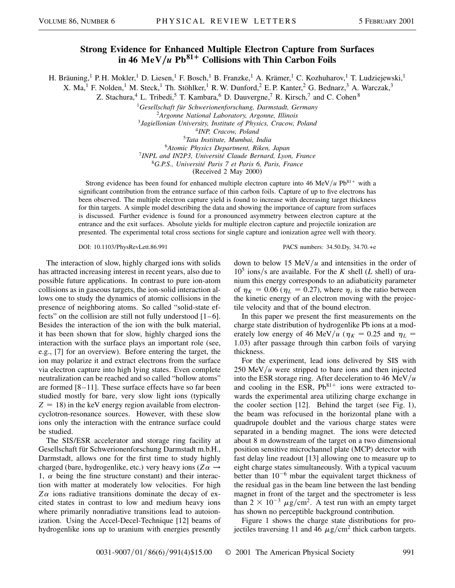## **Strong Evidence for Enhanced Multiple Electron Capture from Surfaces**  $\sin 46$  MeV/*u*  $\text{Pb}^{81+}$  Collisions with Thin Carbon Foils

H. Bräuning,<sup>1</sup> P. H. Mokler,<sup>1</sup> D. Liesen,<sup>1</sup> F. Bosch,<sup>1</sup> B. Franzke,<sup>1</sup> A. Krämer,<sup>1</sup> C. Kozhuharov,<sup>1</sup> T. Ludziejewski,<sup>1</sup>

X. Ma,<sup>1</sup> F. Nolden,<sup>1</sup> M. Steck,<sup>1</sup> Th. Stöhlker,<sup>1</sup> R. W. Dunford,<sup>2</sup> E. P. Kanter,<sup>2</sup> G. Bednarz,<sup>3</sup> A. Warczak,<sup>3</sup>

Z. Stachura,<sup>4</sup> L. Tribedi,<sup>5</sup> T. Kambara,<sup>6</sup> D. Dauvergne,<sup>7</sup> R. Kirsch,<sup>7</sup> and C. Cohen<sup>8</sup>

*Gesellschaft für Schwerionenforschung, Darmstadt, Germany Argonne National Laboratory, Argonne, Illinois Jagiellonian University, Institute of Physics, Cracow, Poland INP, Cracow, Poland Tata Institute, Mumbai, India Atomic Physics Department, Riken, Japan INPL and IN2P3, Université Claude Bernard, Lyon, France G.P.S., Université Paris 7 et Paris 6, Paris, France*

(Received 2 May 2000)

Strong evidence has been found for enhanced multiple electron capture into  $46 \text{ MeV}/u \text{ Pb}^{81+}$  with a significant contribution from the entrance surface of thin carbon foils. Capture of up to five electrons has been observed. The multiple electron capture yield is found to increase with decreasing target thickness for thin targets. A simple model describing the data and showing the importance of capture from surfaces is discussed. Further evidence is found for a pronounced asymmetry between electron capture at the entrance and the exit surfaces. Absolute yields for multiple electron capture and projectile ionization are presented. The experimental total cross sections for single capture and ionization agree well with theory.

DOI: 10.1103/PhysRevLett.86.991 PACS numbers: 34.50.Dy, 34.70.+e

The interaction of slow, highly charged ions with solids has attracted increasing interest in recent years, also due to possible future applications. In contrast to pure ion-atom collisions as in gaseous targets, the ion-solid interaction allows one to study the dynamics of atomic collisions in the presence of neighboring atoms. So called "solid-state effects" on the collision are still not fully understood  $[1-6]$ . Besides the interaction of the ion with the bulk material, it has been shown that for slow, highly charged ions the interaction with the surface plays an important role (see, e.g., [7] for an overview). Before entering the target, the ion may polarize it and extract electrons from the surface via electron capture into high lying states. Even complete neutralization can be reached and so called "hollow atoms" are formed [8–11]. These surface effects have so far been studied mostly for bare, very slow light ions (typically  $Z = 18$ ) in the keV energy region available from electroncyclotron-resonance sources. However, with these slow ions only the interaction with the entrance surface could be studied.

The SIS/ESR accelerator and storage ring facility at Gesellschaft für Schwerionenforschung Darmstadt m.b.H., Darmstadt, allows one for the first time to study highly charged (bare, hydrogenlike, etc.) very heavy ions ( $Z\alpha \rightarrow$ 1,  $\alpha$  being the fine structure constant) and their interaction with matter at moderately low velocities. For high  $Z\alpha$  ions radiative transitions dominate the decay of excited states in contrast to low and medium heavy ions where primarily nonradiative transitions lead to autoionization. Using the Accel-Decel-Technique [12] beams of hydrogenlike ions up to uranium with energies presently down to below 15 MeV/ $u$  and intensities in the order of  $10<sup>5</sup>$  ions/s are available. For the *K* shell (*L* shell) of uranium this energy corresponds to an adiabaticity parameter of  $\eta_K = 0.06$  ( $\eta_L = 0.27$ ), where  $\eta_i$  is the ratio between the kinetic energy of an electron moving with the projectile velocity and that of the bound electron.

In this paper we present the first measurements on the charge state distribution of hydrogenlike Pb ions at a moderately low energy of 46 MeV/*u* ( $\eta_K = 0.25$  and  $\eta_L =$ 1.03) after passage through thin carbon foils of varying thickness.

For the experiment, lead ions delivered by SIS with  $250 \text{ MeV}/u$  were stripped to bare ions and then injected into the ESR storage ring. After deceleration to 46 MeV*u* and cooling in the ESR,  $Pb^{81+}$  ions were extracted towards the experimental area utilizing charge exchange in the cooler section [12]. Behind the target (see Fig. 1), the beam was refocused in the horizontal plane with a quadrupole doublet and the various charge states were separated in a bending magnet. The ions were detected about 8 m downstream of the target on a two dimensional position sensitive microchannel plate (MCP) detector with fast delay line readout [13] allowing one to measure up to eight charge states simultaneously. With a typical vacuum better than  $10^{-6}$  mbar the equivalent target thickness of the residual gas in the beam line between the last bending magnet in front of the target and the spectrometer is less than  $2 \times 10^{-3} \mu g/cm^2$ . A test run with an empty target has shown no perceptible background contribution.

Figure 1 shows the charge state distributions for projectiles traversing 11 and 46  $\mu$ g/cm<sup>2</sup> thick carbon targets.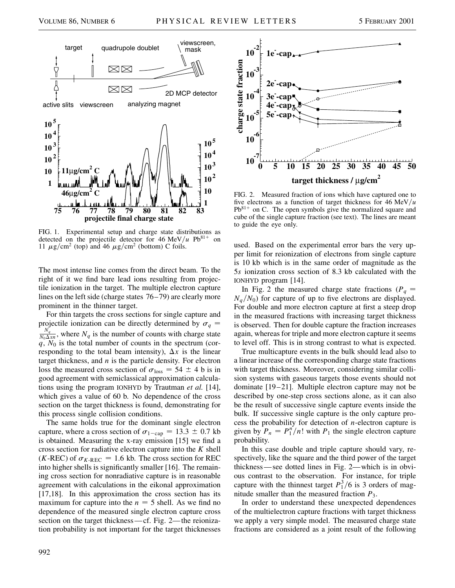

FIG. 1. Experimental setup and charge state distributions as detected on the projectile detector for  $46 \text{ MeV}/u \text{ Pb}^{81+}$  on 11  $\mu$ g/cm<sup>2</sup> (top) and 46  $\mu$ g/cm<sup>2</sup> (bottom) C foils.

The most intense line comes from the direct beam. To the right of it we find bare lead ions resulting from projectile ionization in the target. The multiple electron capture lines on the left side (charge states 76–79) are clearly more prominent in the thinner target.

For thin targets the cross sections for single capture and projectile ionization can be directly determined by  $\sigma_q$  =  $\frac{N_q}{N_0\Delta x n}$ , where  $N_q$  is the number of counts with charge state  $q$ ,  $N_0$  is the total number of counts in the spectrum (corresponding to the total beam intensity),  $\Delta x$  is the linear target thickness, and *n* is the particle density. For electron loss the measured cross section of  $\sigma_{\text{loss}} = 54 \pm 4$  b is in good agreement with semiclassical approximation calculations using the program IONHYD by Trautman *et al.* [14], which gives a value of 60 b. No dependence of the cross section on the target thickness is found, demonstrating for this process single collision conditions.

The same holds true for the dominant single electron capture, where a cross section of  $\sigma_{1-\text{cap}} = 13.3 \pm 0.7$  kb is obtained. Measuring the x-ray emission [15] we find a cross section for radiative electron capture into the *K* shell  $(K$ -REC) of  $\sigma_{K-REC} = 1.6$  kb. The cross section for REC into higher shells is significantly smaller [16]. The remaining cross section for nonradiative capture is in reasonable agreement with calculations in the eikonal approximation [17,18]. In this approximation the cross section has its maximum for capture into the  $n = 5$  shell. As we find no dependence of the measured single electron capture cross section on the target thickness—cf. Fig. 2—the reionization probability is not important for the target thicknesses



FIG. 2. Measured fraction of ions which have captured one to five electrons as a function of target thickness for 46 MeV*u*  $Pb^{81+}$  on C. The open symbols give the normalized square and cube of the single capture fraction (see text). The lines are meant to guide the eye only.

used. Based on the experimental error bars the very upper limit for reionization of electrons from single capture is 10 kb which is in the same order of magnitude as the 5*s* ionization cross section of 8.3 kb calculated with the IONHYD program [14].

In Fig. 2 the measured charge state fractions ( $P<sub>q</sub>$  =  $N_a/N_0$ ) for capture of up to five electrons are displayed. For double and more electron capture at first a steep drop in the measured fractions with increasing target thickness is observed. Then for double capture the fraction increases again, whereas for triple and more electron capture it seems to level off. This is in strong contrast to what is expected.

True multicapture events in the bulk should lead also to a linear increase of the corresponding charge state fractions with target thickness. Moreover, considering similar collision systems with gaseous targets those events should not dominate [19–21]. Multiple electron capture may not be described by one-step cross sections alone, as it can also be the result of successive single capture events inside the bulk. If successive single capture is the only capture process the probability for detection of *n*-electron capture is given by  $P_n = P_1^n/n!$  with  $P_1$  the single electron capture probability.

In this case double and triple capture should vary, respectively, like the square and the third power of the target thickness—see dotted lines in Fig. 2—which is in obvious contrast to the observation. For instance, for triple capture with the thinnest target  $P_1^3/6$  is 3 orders of magnitude smaller than the measured fraction *P*3.

In order to understand these unexpected dependences of the multielectron capture fractions with target thickness we apply a very simple model. The measured charge state fractions are considered as a joint result of the following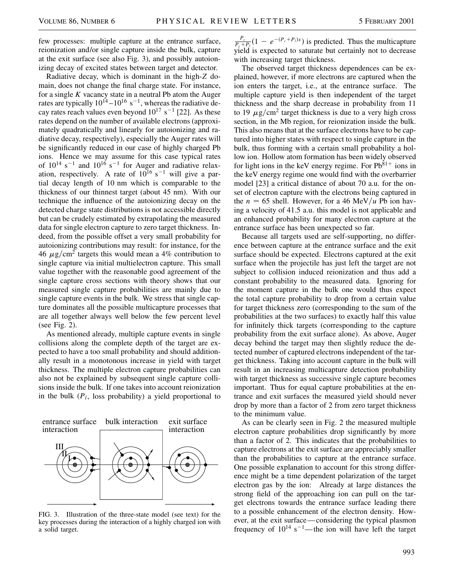few processes: multiple capture at the entrance surface, reionization and/or single capture inside the bulk, capture at the exit surface (see also Fig. 3), and possibly autoionizing decay of excited states between target and detector.

Radiative decay, which is dominant in the high-*Z* domain, does not change the final charge state. For instance, for a single *K* vacancy state in a neutral Pb atom the Auger rates are typically  $10^{14} - 10^{16}$  s<sup>-1</sup>, whereas the radiative decay rates reach values even beyond  $10^{17}$  s<sup>-1</sup> [22]. As these rates depend on the number of available electrons (approximately quadratically and linearly for autoionizing and radiative decay, respectively), especially the Auger rates will be significantly reduced in our case of highly charged Pb ions. Hence we may assume for this case typical rates of  $10^{14}$  s<sup>-1</sup> and  $10^{16}$  s<sup>-1</sup> for Auger and radiative relaxation, respectively. A rate of  $10^{16}$  s<sup>-1</sup> will give a partial decay length of 10 nm which is comparable to the thickness of our thinnest target (about 45 nm). With our technique the influence of the autoionizing decay on the detected charge state distributions is not accessible directly but can be crudely estimated by extrapolating the measured data for single electron capture to zero target thickness. Indeed, from the possible offset a very small probability for autoionizing contributions may result: for instance, for the 46  $\mu$ g/cm<sup>2</sup> targets this would mean a 4% contribution to single capture via initial multielectron capture. This small value together with the reasonable good agreement of the single capture cross sections with theory shows that our measured single capture probabilities are mainly due to single capture events in the bulk. We stress that single capture dominates all the possible multicapture processes that are all together always well below the few percent level (see Fig. 2).

As mentioned already, multiple capture events in single collisions along the complete depth of the target are expected to have a too small probability and should additionally result in a monotonous increase in yield with target thickness. The multiple electron capture probabilities can also not be explained by subsequent single capture collisions inside the bulk. If one takes into account reionization in the bulk  $(P_l, \text{loss probability})$  a yield proportional to



FIG. 3. Illustration of the three-state model (see text) for the key processes during the interaction of a highly charged ion with a solid target.

*Pc*  $\frac{P_c}{P_c+P_l}(1 - e^{-(P_c+P_l)x})$  is predicted. Thus the multicapture yield is expected to saturate but certainly not to decrease with increasing target thickness.

The observed target thickness dependences can be explained, however, if more electrons are captured when the ion enters the target, i.e., at the entrance surface. The multiple capture yield is then independent of the target thickness and the sharp decrease in probability from 11 to 19  $\mu$ g/cm<sup>2</sup> target thickness is due to a very high cross section, in the Mb region, for reionization inside the bulk. This also means that at the surface electrons have to be captured into higher states with respect to single capture in the bulk, thus forming with a certain small probability a hollow ion. Hollow atom formation has been widely observed for light ions in the keV energy regime. For  $Pb^{\check{8}1+}$  ions in the keV energy regime one would find with the overbarrier model [23] a critical distance of about 70 a.u. for the onset of electron capture with the electrons being captured in the  $n = 65$  shell. However, for a 46 MeV/*u* Pb ion having a velocity of 41.5 a.u. this model is not applicable and an enhanced probability for many electron capture at the entrance surface has been unexpected so far.

Because all targets used are self-supporting, no difference between capture at the entrance surface and the exit surface should be expected. Electrons captured at the exit surface when the projectile has just left the target are not subject to collision induced reionization and thus add a constant probability to the measured data. Ignoring for the moment capture in the bulk one would thus expect the total capture probability to drop from a certain value for target thickness zero (corresponding to the sum of the probabilities at the two surfaces) to exactly half this value for infinitely thick targets (corresponding to the capture probability from the exit surface alone). As above, Auger decay behind the target may then slightly reduce the detected number of captured electrons independent of the target thickness. Taking into account capture in the bulk will result in an increasing multicapture detection probability with target thickness as successive single capture becomes important. Thus for equal capture probabilities at the entrance and exit surfaces the measured yield should never drop by more than a factor of 2 from zero target thickness to the minimum value.

As can be clearly seen in Fig. 2 the measured multiple electron capture probabilities drop significantly by more than a factor of 2. This indicates that the probabilities to capture electrons at the exit surface are appreciably smaller than the probabilities to capture at the entrance surface. One possible explanation to account for this strong difference might be a time dependent polarization of the target electron gas by the ion: Already at large distances the strong field of the approaching ion can pull on the target electrons towards the entrance surface leading there to a possible enhancement of the electron density. However, at the exit surface—considering the typical plasmon frequency of  $10^{14}$  s<sup>-1</sup>—the ion will have left the target